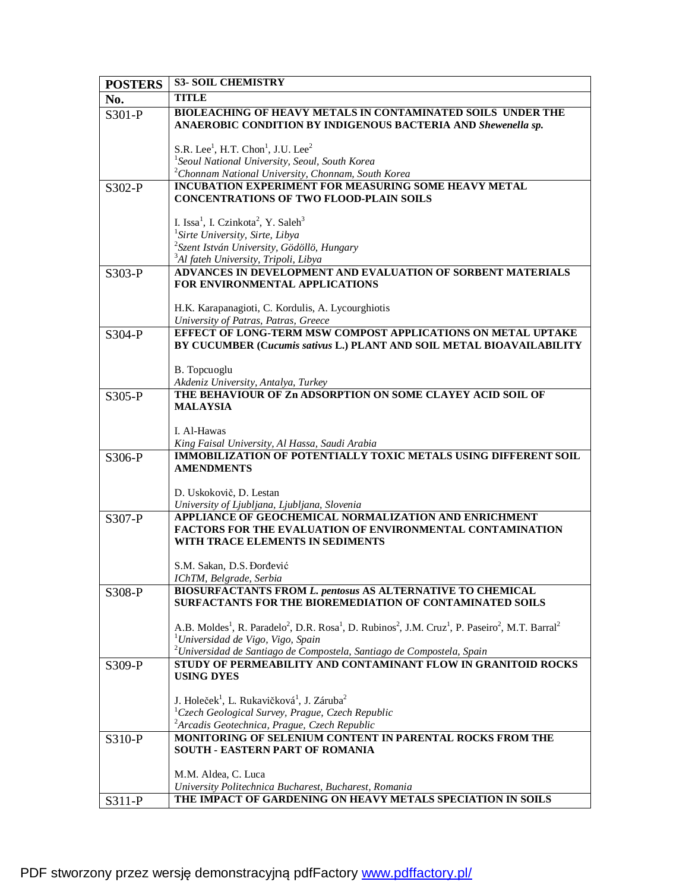| <b>POSTERS</b> | <b>S3- SOIL CHEMISTRY</b>                                                                                                                                                                                                    |
|----------------|------------------------------------------------------------------------------------------------------------------------------------------------------------------------------------------------------------------------------|
| No.            | <b>TITLE</b>                                                                                                                                                                                                                 |
| S301-P         | <b>BIOLEACHING OF HEAVY METALS IN CONTAMINATED SOILS UNDER THE</b><br>ANAEROBIC CONDITION BY INDIGENOUS BACTERIA AND Shewenella sp.                                                                                          |
|                |                                                                                                                                                                                                                              |
|                | S.R. Lee <sup>1</sup> , H.T. Chon <sup>1</sup> , J.U. Lee <sup>2</sup><br><sup>1</sup> Seoul National University, Seoul, South Korea                                                                                         |
|                | <sup>2</sup> Chonnam National University, Chonnam, South Korea                                                                                                                                                               |
| S302-P         | <b>INCUBATION EXPERIMENT FOR MEASURING SOME HEAVY METAL</b>                                                                                                                                                                  |
|                | <b>CONCENTRATIONS OF TWO FLOOD-PLAIN SOILS</b>                                                                                                                                                                               |
|                |                                                                                                                                                                                                                              |
|                | I. Issa <sup>1</sup> , I. Czinkota <sup>2</sup> , Y. Saleh <sup>3</sup><br><sup>1</sup> Sirte University, Sirte, Libya                                                                                                       |
|                | $2$ Szent István University, Gödöllö, Hungary                                                                                                                                                                                |
|                | <sup>3</sup> Al fateh University, Tripoli, Libya                                                                                                                                                                             |
| S303-P         | ADVANCES IN DEVELOPMENT AND EVALUATION OF SORBENT MATERIALS                                                                                                                                                                  |
|                | FOR ENVIRONMENTAL APPLICATIONS                                                                                                                                                                                               |
|                |                                                                                                                                                                                                                              |
|                | H.K. Karapanagioti, C. Kordulis, A. Lycourghiotis<br>University of Patras, Patras, Greece                                                                                                                                    |
| S304-P         | EFFECT OF LONG-TERM MSW COMPOST APPLICATIONS ON METAL UPTAKE                                                                                                                                                                 |
|                | BY CUCUMBER (Cucumis sativus L.) PLANT AND SOIL METAL BIOAVAILABILITY                                                                                                                                                        |
|                |                                                                                                                                                                                                                              |
|                | B. Topcuoglu<br>Akdeniz University, Antalya, Turkey                                                                                                                                                                          |
| S305-P         | THE BEHAVIOUR OF Zn ADSORPTION ON SOME CLAYEY ACID SOIL OF                                                                                                                                                                   |
|                | <b>MALAYSIA</b>                                                                                                                                                                                                              |
|                |                                                                                                                                                                                                                              |
|                | I. Al-Hawas                                                                                                                                                                                                                  |
| S306-P         | King Faisal University, Al Hassa, Saudi Arabia<br><b>IMMOBILIZATION OF POTENTIALLY TOXIC METALS USING DIFFERENT SOIL</b>                                                                                                     |
|                | <b>AMENDMENTS</b>                                                                                                                                                                                                            |
|                |                                                                                                                                                                                                                              |
|                | D. Uskokovič, D. Lestan                                                                                                                                                                                                      |
| $S307-P$       | University of Ljubljana, Ljubljana, Slovenia<br>APPLIANCE OF GEOCHEMICAL NORMALIZATION AND ENRICHMENT                                                                                                                        |
|                | <b>FACTORS FOR THE EVALUATION OF ENVIRONMENTAL CONTAMINATION</b>                                                                                                                                                             |
|                | WITH TRACE ELEMENTS IN SEDIMENTS                                                                                                                                                                                             |
|                |                                                                                                                                                                                                                              |
|                | S.M. Sakan, D.S. Đorđević<br>IChTM. Belgrade. Serbia                                                                                                                                                                         |
| S308-P         | <b>BIOSURFACTANTS FROM L. pentosus AS ALTERNATIVE TO CHEMICAL</b>                                                                                                                                                            |
|                | SURFACTANTS FOR THE BIOREMEDIATION OF CONTAMINATED SOILS                                                                                                                                                                     |
|                |                                                                                                                                                                                                                              |
|                | A.B. Moldes <sup>1</sup> , R. Paradelo <sup>2</sup> , D.R. Rosa <sup>1</sup> , D. Rubinos <sup>2</sup> , J.M. Cruz <sup>1</sup> , P. Paseiro <sup>2</sup> , M.T. Barral <sup>2</sup><br>$1$ Universidad de Vigo, Vigo, Spain |
|                | $^{2}$ Universidad de Santiago de Compostela, Santiago de Compostela, Spain                                                                                                                                                  |
| S309-P         | STUDY OF PERMEABILITY AND CONTAMINANT FLOW IN GRANITOID ROCKS                                                                                                                                                                |
|                | <b>USING DYES</b>                                                                                                                                                                                                            |
|                | J. Holeček <sup>1</sup> , L. Rukavičková <sup>1</sup> , J. Záruba <sup>2</sup>                                                                                                                                               |
|                | <sup>1</sup> Czech Geological Survey, Prague, Czech Republic                                                                                                                                                                 |
|                | <sup>2</sup> Arcadis Geotechnica, Prague, Czech Republic                                                                                                                                                                     |
| S310-P         | MONITORING OF SELENIUM CONTENT IN PARENTAL ROCKS FROM THE                                                                                                                                                                    |
|                | <b>SOUTH - EASTERN PART OF ROMANIA</b>                                                                                                                                                                                       |
|                | M.M. Aldea, C. Luca                                                                                                                                                                                                          |
|                | University Politechnica Bucharest, Bucharest, Romania                                                                                                                                                                        |
| S311-P         | THE IMPACT OF GARDENING ON HEAVY METALS SPECIATION IN SOILS                                                                                                                                                                  |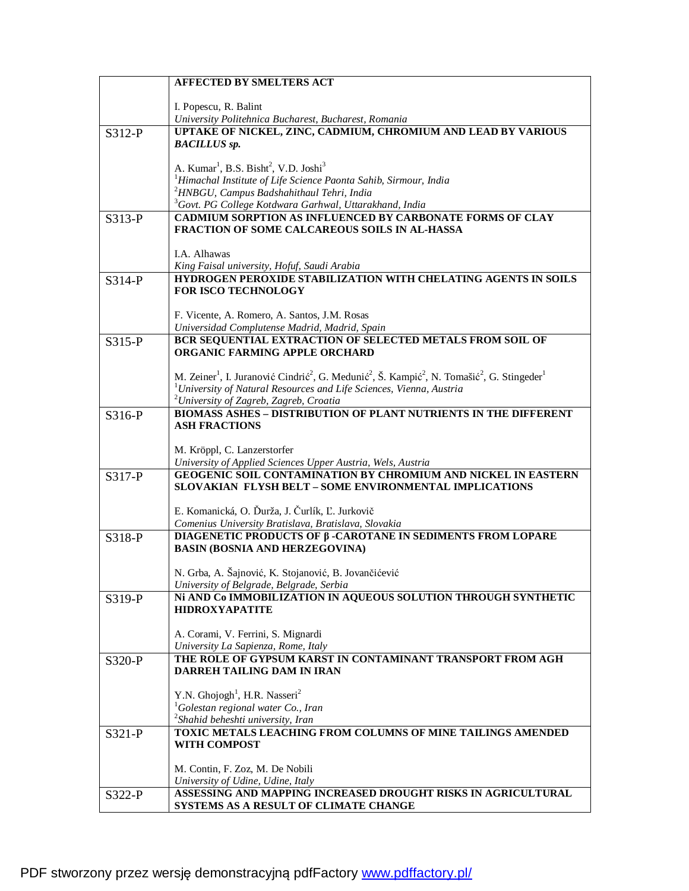| I. Popescu, R. Balint<br>University Politehnica Bucharest, Bucharest, Romania<br>UPTAKE OF NICKEL, ZINC, CADMIUM, CHROMIUM AND LEAD BY VARIOUS<br>S312-P<br><b>BACILLUS</b> sp.<br>A. Kumar <sup>1</sup> , B.S. Bisht <sup>2</sup> , V.D. Joshi <sup>3</sup><br><sup>1</sup> Himachal Institute of Life Science Paonta Sahib, Sirmour, India<br>$2$ HNBGU, Campus Badshahithaul Tehri, India<br><sup>3</sup> Govt. PG College Kotdwara Garhwal, Uttarakhand, India<br><b>CADMIUM SORPTION AS INFLUENCED BY CARBONATE FORMS OF CLAY</b><br>S313-P<br><b>FRACTION OF SOME CALCAREOUS SOILS IN AL-HASSA</b><br>I.A. Alhawas<br>King Faisal university, Hofuf, Saudi Arabia<br>HYDROGEN PEROXIDE STABILIZATION WITH CHELATING AGENTS IN SOILS<br>S314-P<br><b>FOR ISCO TECHNOLOGY</b><br>F. Vicente, A. Romero, A. Santos, J.M. Rosas<br>Universidad Complutense Madrid, Madrid, Spain<br>BCR SEQUENTIAL EXTRACTION OF SELECTED METALS FROM SOIL OF<br>$S315-P$<br>ORGANIC FARMING APPLE ORCHARD<br>M. Zeiner <sup>1</sup> , I. Juranović Cindrić <sup>2</sup> , G. Medunić <sup>2</sup> , Š. Kampić <sup>2</sup> , N. Tomašić <sup>2</sup> , G. Stingeder <sup>1</sup><br>$1$ University of Natural Resources and Life Sciences, Vienna, Austria<br><sup>2</sup> University of Zagreb, Zagreb, Croatia<br><b>BIOMASS ASHES - DISTRIBUTION OF PLANT NUTRIENTS IN THE DIFFERENT</b><br>S316-P<br><b>ASH FRACTIONS</b><br>M. Kröppl, C. Lanzerstorfer<br>University of Applied Sciences Upper Austria, Wels, Austria<br><b>GEOGENIC SOIL CONTAMINATION BY CHROMIUM AND NICKEL IN EASTERN</b><br>S317-P<br><b>SLOVAKIAN FLYSH BELT - SOME ENVIRONMENTAL IMPLICATIONS</b><br>E. Komanická, O. Ďurža, J. Čurlík, Ľ. Jurkovič<br>Comenius University Bratislava, Bratislava, Slovakia<br>DIAGENETIC PRODUCTS OF β-CAROTANE IN SEDIMENTS FROM LOPARE<br>S318-P<br><b>BASIN (BOSNIA AND HERZEGOVINA)</b><br>N. Grba, A. Šajnović, K. Stojanović, B. Jovančićević<br>University of Belgrade, Belgrade, Serbia<br>Ni AND Co IMMOBILIZATION IN AQUEOUS SOLUTION THROUGH SYNTHETIC<br>S319-P<br><b>HIDROXYAPATITE</b><br>A. Corami, V. Ferrini, S. Mignardi<br>University La Sapienza, Rome, Italy<br>THE ROLE OF GYPSUM KARST IN CONTAMINANT TRANSPORT FROM AGH<br>S320-P<br>DARREH TAILING DAM IN IRAN<br>Y.N. Ghojogh <sup>1</sup> , H.R. Nasseri <sup>2</sup><br>${}^{1}$ Golestan regional water Co., Iran<br>$2$ Shahid beheshti university, Iran<br>TOXIC METALS LEACHING FROM COLUMNS OF MINE TAILINGS AMENDED<br>S321-P<br><b>WITH COMPOST</b><br>M. Contin, F. Zoz, M. De Nobili<br>University of Udine, Udine, Italy<br>ASSESSING AND MAPPING INCREASED DROUGHT RISKS IN AGRICULTURAL<br>S322-P<br>SYSTEMS AS A RESULT OF CLIMATE CHANGE | <b>AFFECTED BY SMELTERS ACT</b> |
|-------------------------------------------------------------------------------------------------------------------------------------------------------------------------------------------------------------------------------------------------------------------------------------------------------------------------------------------------------------------------------------------------------------------------------------------------------------------------------------------------------------------------------------------------------------------------------------------------------------------------------------------------------------------------------------------------------------------------------------------------------------------------------------------------------------------------------------------------------------------------------------------------------------------------------------------------------------------------------------------------------------------------------------------------------------------------------------------------------------------------------------------------------------------------------------------------------------------------------------------------------------------------------------------------------------------------------------------------------------------------------------------------------------------------------------------------------------------------------------------------------------------------------------------------------------------------------------------------------------------------------------------------------------------------------------------------------------------------------------------------------------------------------------------------------------------------------------------------------------------------------------------------------------------------------------------------------------------------------------------------------------------------------------------------------------------------------------------------------------------------------------------------------------------------------------------------------------------------------------------------------------------------------------------------------------------------------------------------------------------------------------------------------------------------------------------------------------------------------------------------------------------------------------------------------------------------------------------------------------------------------------------------------------------------------------------------------------------------------------|---------------------------------|
|                                                                                                                                                                                                                                                                                                                                                                                                                                                                                                                                                                                                                                                                                                                                                                                                                                                                                                                                                                                                                                                                                                                                                                                                                                                                                                                                                                                                                                                                                                                                                                                                                                                                                                                                                                                                                                                                                                                                                                                                                                                                                                                                                                                                                                                                                                                                                                                                                                                                                                                                                                                                                                                                                                                                     |                                 |
|                                                                                                                                                                                                                                                                                                                                                                                                                                                                                                                                                                                                                                                                                                                                                                                                                                                                                                                                                                                                                                                                                                                                                                                                                                                                                                                                                                                                                                                                                                                                                                                                                                                                                                                                                                                                                                                                                                                                                                                                                                                                                                                                                                                                                                                                                                                                                                                                                                                                                                                                                                                                                                                                                                                                     |                                 |
|                                                                                                                                                                                                                                                                                                                                                                                                                                                                                                                                                                                                                                                                                                                                                                                                                                                                                                                                                                                                                                                                                                                                                                                                                                                                                                                                                                                                                                                                                                                                                                                                                                                                                                                                                                                                                                                                                                                                                                                                                                                                                                                                                                                                                                                                                                                                                                                                                                                                                                                                                                                                                                                                                                                                     |                                 |
|                                                                                                                                                                                                                                                                                                                                                                                                                                                                                                                                                                                                                                                                                                                                                                                                                                                                                                                                                                                                                                                                                                                                                                                                                                                                                                                                                                                                                                                                                                                                                                                                                                                                                                                                                                                                                                                                                                                                                                                                                                                                                                                                                                                                                                                                                                                                                                                                                                                                                                                                                                                                                                                                                                                                     |                                 |
|                                                                                                                                                                                                                                                                                                                                                                                                                                                                                                                                                                                                                                                                                                                                                                                                                                                                                                                                                                                                                                                                                                                                                                                                                                                                                                                                                                                                                                                                                                                                                                                                                                                                                                                                                                                                                                                                                                                                                                                                                                                                                                                                                                                                                                                                                                                                                                                                                                                                                                                                                                                                                                                                                                                                     |                                 |
|                                                                                                                                                                                                                                                                                                                                                                                                                                                                                                                                                                                                                                                                                                                                                                                                                                                                                                                                                                                                                                                                                                                                                                                                                                                                                                                                                                                                                                                                                                                                                                                                                                                                                                                                                                                                                                                                                                                                                                                                                                                                                                                                                                                                                                                                                                                                                                                                                                                                                                                                                                                                                                                                                                                                     |                                 |
|                                                                                                                                                                                                                                                                                                                                                                                                                                                                                                                                                                                                                                                                                                                                                                                                                                                                                                                                                                                                                                                                                                                                                                                                                                                                                                                                                                                                                                                                                                                                                                                                                                                                                                                                                                                                                                                                                                                                                                                                                                                                                                                                                                                                                                                                                                                                                                                                                                                                                                                                                                                                                                                                                                                                     |                                 |
|                                                                                                                                                                                                                                                                                                                                                                                                                                                                                                                                                                                                                                                                                                                                                                                                                                                                                                                                                                                                                                                                                                                                                                                                                                                                                                                                                                                                                                                                                                                                                                                                                                                                                                                                                                                                                                                                                                                                                                                                                                                                                                                                                                                                                                                                                                                                                                                                                                                                                                                                                                                                                                                                                                                                     |                                 |
|                                                                                                                                                                                                                                                                                                                                                                                                                                                                                                                                                                                                                                                                                                                                                                                                                                                                                                                                                                                                                                                                                                                                                                                                                                                                                                                                                                                                                                                                                                                                                                                                                                                                                                                                                                                                                                                                                                                                                                                                                                                                                                                                                                                                                                                                                                                                                                                                                                                                                                                                                                                                                                                                                                                                     |                                 |
|                                                                                                                                                                                                                                                                                                                                                                                                                                                                                                                                                                                                                                                                                                                                                                                                                                                                                                                                                                                                                                                                                                                                                                                                                                                                                                                                                                                                                                                                                                                                                                                                                                                                                                                                                                                                                                                                                                                                                                                                                                                                                                                                                                                                                                                                                                                                                                                                                                                                                                                                                                                                                                                                                                                                     |                                 |
|                                                                                                                                                                                                                                                                                                                                                                                                                                                                                                                                                                                                                                                                                                                                                                                                                                                                                                                                                                                                                                                                                                                                                                                                                                                                                                                                                                                                                                                                                                                                                                                                                                                                                                                                                                                                                                                                                                                                                                                                                                                                                                                                                                                                                                                                                                                                                                                                                                                                                                                                                                                                                                                                                                                                     |                                 |
|                                                                                                                                                                                                                                                                                                                                                                                                                                                                                                                                                                                                                                                                                                                                                                                                                                                                                                                                                                                                                                                                                                                                                                                                                                                                                                                                                                                                                                                                                                                                                                                                                                                                                                                                                                                                                                                                                                                                                                                                                                                                                                                                                                                                                                                                                                                                                                                                                                                                                                                                                                                                                                                                                                                                     |                                 |
|                                                                                                                                                                                                                                                                                                                                                                                                                                                                                                                                                                                                                                                                                                                                                                                                                                                                                                                                                                                                                                                                                                                                                                                                                                                                                                                                                                                                                                                                                                                                                                                                                                                                                                                                                                                                                                                                                                                                                                                                                                                                                                                                                                                                                                                                                                                                                                                                                                                                                                                                                                                                                                                                                                                                     |                                 |
|                                                                                                                                                                                                                                                                                                                                                                                                                                                                                                                                                                                                                                                                                                                                                                                                                                                                                                                                                                                                                                                                                                                                                                                                                                                                                                                                                                                                                                                                                                                                                                                                                                                                                                                                                                                                                                                                                                                                                                                                                                                                                                                                                                                                                                                                                                                                                                                                                                                                                                                                                                                                                                                                                                                                     |                                 |
|                                                                                                                                                                                                                                                                                                                                                                                                                                                                                                                                                                                                                                                                                                                                                                                                                                                                                                                                                                                                                                                                                                                                                                                                                                                                                                                                                                                                                                                                                                                                                                                                                                                                                                                                                                                                                                                                                                                                                                                                                                                                                                                                                                                                                                                                                                                                                                                                                                                                                                                                                                                                                                                                                                                                     |                                 |
|                                                                                                                                                                                                                                                                                                                                                                                                                                                                                                                                                                                                                                                                                                                                                                                                                                                                                                                                                                                                                                                                                                                                                                                                                                                                                                                                                                                                                                                                                                                                                                                                                                                                                                                                                                                                                                                                                                                                                                                                                                                                                                                                                                                                                                                                                                                                                                                                                                                                                                                                                                                                                                                                                                                                     |                                 |
|                                                                                                                                                                                                                                                                                                                                                                                                                                                                                                                                                                                                                                                                                                                                                                                                                                                                                                                                                                                                                                                                                                                                                                                                                                                                                                                                                                                                                                                                                                                                                                                                                                                                                                                                                                                                                                                                                                                                                                                                                                                                                                                                                                                                                                                                                                                                                                                                                                                                                                                                                                                                                                                                                                                                     |                                 |
|                                                                                                                                                                                                                                                                                                                                                                                                                                                                                                                                                                                                                                                                                                                                                                                                                                                                                                                                                                                                                                                                                                                                                                                                                                                                                                                                                                                                                                                                                                                                                                                                                                                                                                                                                                                                                                                                                                                                                                                                                                                                                                                                                                                                                                                                                                                                                                                                                                                                                                                                                                                                                                                                                                                                     |                                 |
|                                                                                                                                                                                                                                                                                                                                                                                                                                                                                                                                                                                                                                                                                                                                                                                                                                                                                                                                                                                                                                                                                                                                                                                                                                                                                                                                                                                                                                                                                                                                                                                                                                                                                                                                                                                                                                                                                                                                                                                                                                                                                                                                                                                                                                                                                                                                                                                                                                                                                                                                                                                                                                                                                                                                     |                                 |
|                                                                                                                                                                                                                                                                                                                                                                                                                                                                                                                                                                                                                                                                                                                                                                                                                                                                                                                                                                                                                                                                                                                                                                                                                                                                                                                                                                                                                                                                                                                                                                                                                                                                                                                                                                                                                                                                                                                                                                                                                                                                                                                                                                                                                                                                                                                                                                                                                                                                                                                                                                                                                                                                                                                                     |                                 |
|                                                                                                                                                                                                                                                                                                                                                                                                                                                                                                                                                                                                                                                                                                                                                                                                                                                                                                                                                                                                                                                                                                                                                                                                                                                                                                                                                                                                                                                                                                                                                                                                                                                                                                                                                                                                                                                                                                                                                                                                                                                                                                                                                                                                                                                                                                                                                                                                                                                                                                                                                                                                                                                                                                                                     |                                 |
|                                                                                                                                                                                                                                                                                                                                                                                                                                                                                                                                                                                                                                                                                                                                                                                                                                                                                                                                                                                                                                                                                                                                                                                                                                                                                                                                                                                                                                                                                                                                                                                                                                                                                                                                                                                                                                                                                                                                                                                                                                                                                                                                                                                                                                                                                                                                                                                                                                                                                                                                                                                                                                                                                                                                     |                                 |
|                                                                                                                                                                                                                                                                                                                                                                                                                                                                                                                                                                                                                                                                                                                                                                                                                                                                                                                                                                                                                                                                                                                                                                                                                                                                                                                                                                                                                                                                                                                                                                                                                                                                                                                                                                                                                                                                                                                                                                                                                                                                                                                                                                                                                                                                                                                                                                                                                                                                                                                                                                                                                                                                                                                                     |                                 |
|                                                                                                                                                                                                                                                                                                                                                                                                                                                                                                                                                                                                                                                                                                                                                                                                                                                                                                                                                                                                                                                                                                                                                                                                                                                                                                                                                                                                                                                                                                                                                                                                                                                                                                                                                                                                                                                                                                                                                                                                                                                                                                                                                                                                                                                                                                                                                                                                                                                                                                                                                                                                                                                                                                                                     |                                 |
|                                                                                                                                                                                                                                                                                                                                                                                                                                                                                                                                                                                                                                                                                                                                                                                                                                                                                                                                                                                                                                                                                                                                                                                                                                                                                                                                                                                                                                                                                                                                                                                                                                                                                                                                                                                                                                                                                                                                                                                                                                                                                                                                                                                                                                                                                                                                                                                                                                                                                                                                                                                                                                                                                                                                     |                                 |
|                                                                                                                                                                                                                                                                                                                                                                                                                                                                                                                                                                                                                                                                                                                                                                                                                                                                                                                                                                                                                                                                                                                                                                                                                                                                                                                                                                                                                                                                                                                                                                                                                                                                                                                                                                                                                                                                                                                                                                                                                                                                                                                                                                                                                                                                                                                                                                                                                                                                                                                                                                                                                                                                                                                                     |                                 |
|                                                                                                                                                                                                                                                                                                                                                                                                                                                                                                                                                                                                                                                                                                                                                                                                                                                                                                                                                                                                                                                                                                                                                                                                                                                                                                                                                                                                                                                                                                                                                                                                                                                                                                                                                                                                                                                                                                                                                                                                                                                                                                                                                                                                                                                                                                                                                                                                                                                                                                                                                                                                                                                                                                                                     |                                 |
|                                                                                                                                                                                                                                                                                                                                                                                                                                                                                                                                                                                                                                                                                                                                                                                                                                                                                                                                                                                                                                                                                                                                                                                                                                                                                                                                                                                                                                                                                                                                                                                                                                                                                                                                                                                                                                                                                                                                                                                                                                                                                                                                                                                                                                                                                                                                                                                                                                                                                                                                                                                                                                                                                                                                     |                                 |
|                                                                                                                                                                                                                                                                                                                                                                                                                                                                                                                                                                                                                                                                                                                                                                                                                                                                                                                                                                                                                                                                                                                                                                                                                                                                                                                                                                                                                                                                                                                                                                                                                                                                                                                                                                                                                                                                                                                                                                                                                                                                                                                                                                                                                                                                                                                                                                                                                                                                                                                                                                                                                                                                                                                                     |                                 |
|                                                                                                                                                                                                                                                                                                                                                                                                                                                                                                                                                                                                                                                                                                                                                                                                                                                                                                                                                                                                                                                                                                                                                                                                                                                                                                                                                                                                                                                                                                                                                                                                                                                                                                                                                                                                                                                                                                                                                                                                                                                                                                                                                                                                                                                                                                                                                                                                                                                                                                                                                                                                                                                                                                                                     |                                 |
|                                                                                                                                                                                                                                                                                                                                                                                                                                                                                                                                                                                                                                                                                                                                                                                                                                                                                                                                                                                                                                                                                                                                                                                                                                                                                                                                                                                                                                                                                                                                                                                                                                                                                                                                                                                                                                                                                                                                                                                                                                                                                                                                                                                                                                                                                                                                                                                                                                                                                                                                                                                                                                                                                                                                     |                                 |
|                                                                                                                                                                                                                                                                                                                                                                                                                                                                                                                                                                                                                                                                                                                                                                                                                                                                                                                                                                                                                                                                                                                                                                                                                                                                                                                                                                                                                                                                                                                                                                                                                                                                                                                                                                                                                                                                                                                                                                                                                                                                                                                                                                                                                                                                                                                                                                                                                                                                                                                                                                                                                                                                                                                                     |                                 |
|                                                                                                                                                                                                                                                                                                                                                                                                                                                                                                                                                                                                                                                                                                                                                                                                                                                                                                                                                                                                                                                                                                                                                                                                                                                                                                                                                                                                                                                                                                                                                                                                                                                                                                                                                                                                                                                                                                                                                                                                                                                                                                                                                                                                                                                                                                                                                                                                                                                                                                                                                                                                                                                                                                                                     |                                 |
|                                                                                                                                                                                                                                                                                                                                                                                                                                                                                                                                                                                                                                                                                                                                                                                                                                                                                                                                                                                                                                                                                                                                                                                                                                                                                                                                                                                                                                                                                                                                                                                                                                                                                                                                                                                                                                                                                                                                                                                                                                                                                                                                                                                                                                                                                                                                                                                                                                                                                                                                                                                                                                                                                                                                     |                                 |
|                                                                                                                                                                                                                                                                                                                                                                                                                                                                                                                                                                                                                                                                                                                                                                                                                                                                                                                                                                                                                                                                                                                                                                                                                                                                                                                                                                                                                                                                                                                                                                                                                                                                                                                                                                                                                                                                                                                                                                                                                                                                                                                                                                                                                                                                                                                                                                                                                                                                                                                                                                                                                                                                                                                                     |                                 |
|                                                                                                                                                                                                                                                                                                                                                                                                                                                                                                                                                                                                                                                                                                                                                                                                                                                                                                                                                                                                                                                                                                                                                                                                                                                                                                                                                                                                                                                                                                                                                                                                                                                                                                                                                                                                                                                                                                                                                                                                                                                                                                                                                                                                                                                                                                                                                                                                                                                                                                                                                                                                                                                                                                                                     |                                 |
|                                                                                                                                                                                                                                                                                                                                                                                                                                                                                                                                                                                                                                                                                                                                                                                                                                                                                                                                                                                                                                                                                                                                                                                                                                                                                                                                                                                                                                                                                                                                                                                                                                                                                                                                                                                                                                                                                                                                                                                                                                                                                                                                                                                                                                                                                                                                                                                                                                                                                                                                                                                                                                                                                                                                     |                                 |
|                                                                                                                                                                                                                                                                                                                                                                                                                                                                                                                                                                                                                                                                                                                                                                                                                                                                                                                                                                                                                                                                                                                                                                                                                                                                                                                                                                                                                                                                                                                                                                                                                                                                                                                                                                                                                                                                                                                                                                                                                                                                                                                                                                                                                                                                                                                                                                                                                                                                                                                                                                                                                                                                                                                                     |                                 |
|                                                                                                                                                                                                                                                                                                                                                                                                                                                                                                                                                                                                                                                                                                                                                                                                                                                                                                                                                                                                                                                                                                                                                                                                                                                                                                                                                                                                                                                                                                                                                                                                                                                                                                                                                                                                                                                                                                                                                                                                                                                                                                                                                                                                                                                                                                                                                                                                                                                                                                                                                                                                                                                                                                                                     |                                 |
|                                                                                                                                                                                                                                                                                                                                                                                                                                                                                                                                                                                                                                                                                                                                                                                                                                                                                                                                                                                                                                                                                                                                                                                                                                                                                                                                                                                                                                                                                                                                                                                                                                                                                                                                                                                                                                                                                                                                                                                                                                                                                                                                                                                                                                                                                                                                                                                                                                                                                                                                                                                                                                                                                                                                     |                                 |
|                                                                                                                                                                                                                                                                                                                                                                                                                                                                                                                                                                                                                                                                                                                                                                                                                                                                                                                                                                                                                                                                                                                                                                                                                                                                                                                                                                                                                                                                                                                                                                                                                                                                                                                                                                                                                                                                                                                                                                                                                                                                                                                                                                                                                                                                                                                                                                                                                                                                                                                                                                                                                                                                                                                                     |                                 |
|                                                                                                                                                                                                                                                                                                                                                                                                                                                                                                                                                                                                                                                                                                                                                                                                                                                                                                                                                                                                                                                                                                                                                                                                                                                                                                                                                                                                                                                                                                                                                                                                                                                                                                                                                                                                                                                                                                                                                                                                                                                                                                                                                                                                                                                                                                                                                                                                                                                                                                                                                                                                                                                                                                                                     |                                 |
|                                                                                                                                                                                                                                                                                                                                                                                                                                                                                                                                                                                                                                                                                                                                                                                                                                                                                                                                                                                                                                                                                                                                                                                                                                                                                                                                                                                                                                                                                                                                                                                                                                                                                                                                                                                                                                                                                                                                                                                                                                                                                                                                                                                                                                                                                                                                                                                                                                                                                                                                                                                                                                                                                                                                     |                                 |
|                                                                                                                                                                                                                                                                                                                                                                                                                                                                                                                                                                                                                                                                                                                                                                                                                                                                                                                                                                                                                                                                                                                                                                                                                                                                                                                                                                                                                                                                                                                                                                                                                                                                                                                                                                                                                                                                                                                                                                                                                                                                                                                                                                                                                                                                                                                                                                                                                                                                                                                                                                                                                                                                                                                                     |                                 |
|                                                                                                                                                                                                                                                                                                                                                                                                                                                                                                                                                                                                                                                                                                                                                                                                                                                                                                                                                                                                                                                                                                                                                                                                                                                                                                                                                                                                                                                                                                                                                                                                                                                                                                                                                                                                                                                                                                                                                                                                                                                                                                                                                                                                                                                                                                                                                                                                                                                                                                                                                                                                                                                                                                                                     |                                 |
|                                                                                                                                                                                                                                                                                                                                                                                                                                                                                                                                                                                                                                                                                                                                                                                                                                                                                                                                                                                                                                                                                                                                                                                                                                                                                                                                                                                                                                                                                                                                                                                                                                                                                                                                                                                                                                                                                                                                                                                                                                                                                                                                                                                                                                                                                                                                                                                                                                                                                                                                                                                                                                                                                                                                     |                                 |
|                                                                                                                                                                                                                                                                                                                                                                                                                                                                                                                                                                                                                                                                                                                                                                                                                                                                                                                                                                                                                                                                                                                                                                                                                                                                                                                                                                                                                                                                                                                                                                                                                                                                                                                                                                                                                                                                                                                                                                                                                                                                                                                                                                                                                                                                                                                                                                                                                                                                                                                                                                                                                                                                                                                                     |                                 |
|                                                                                                                                                                                                                                                                                                                                                                                                                                                                                                                                                                                                                                                                                                                                                                                                                                                                                                                                                                                                                                                                                                                                                                                                                                                                                                                                                                                                                                                                                                                                                                                                                                                                                                                                                                                                                                                                                                                                                                                                                                                                                                                                                                                                                                                                                                                                                                                                                                                                                                                                                                                                                                                                                                                                     |                                 |
|                                                                                                                                                                                                                                                                                                                                                                                                                                                                                                                                                                                                                                                                                                                                                                                                                                                                                                                                                                                                                                                                                                                                                                                                                                                                                                                                                                                                                                                                                                                                                                                                                                                                                                                                                                                                                                                                                                                                                                                                                                                                                                                                                                                                                                                                                                                                                                                                                                                                                                                                                                                                                                                                                                                                     |                                 |
|                                                                                                                                                                                                                                                                                                                                                                                                                                                                                                                                                                                                                                                                                                                                                                                                                                                                                                                                                                                                                                                                                                                                                                                                                                                                                                                                                                                                                                                                                                                                                                                                                                                                                                                                                                                                                                                                                                                                                                                                                                                                                                                                                                                                                                                                                                                                                                                                                                                                                                                                                                                                                                                                                                                                     |                                 |
|                                                                                                                                                                                                                                                                                                                                                                                                                                                                                                                                                                                                                                                                                                                                                                                                                                                                                                                                                                                                                                                                                                                                                                                                                                                                                                                                                                                                                                                                                                                                                                                                                                                                                                                                                                                                                                                                                                                                                                                                                                                                                                                                                                                                                                                                                                                                                                                                                                                                                                                                                                                                                                                                                                                                     |                                 |
|                                                                                                                                                                                                                                                                                                                                                                                                                                                                                                                                                                                                                                                                                                                                                                                                                                                                                                                                                                                                                                                                                                                                                                                                                                                                                                                                                                                                                                                                                                                                                                                                                                                                                                                                                                                                                                                                                                                                                                                                                                                                                                                                                                                                                                                                                                                                                                                                                                                                                                                                                                                                                                                                                                                                     |                                 |
|                                                                                                                                                                                                                                                                                                                                                                                                                                                                                                                                                                                                                                                                                                                                                                                                                                                                                                                                                                                                                                                                                                                                                                                                                                                                                                                                                                                                                                                                                                                                                                                                                                                                                                                                                                                                                                                                                                                                                                                                                                                                                                                                                                                                                                                                                                                                                                                                                                                                                                                                                                                                                                                                                                                                     |                                 |
|                                                                                                                                                                                                                                                                                                                                                                                                                                                                                                                                                                                                                                                                                                                                                                                                                                                                                                                                                                                                                                                                                                                                                                                                                                                                                                                                                                                                                                                                                                                                                                                                                                                                                                                                                                                                                                                                                                                                                                                                                                                                                                                                                                                                                                                                                                                                                                                                                                                                                                                                                                                                                                                                                                                                     |                                 |
|                                                                                                                                                                                                                                                                                                                                                                                                                                                                                                                                                                                                                                                                                                                                                                                                                                                                                                                                                                                                                                                                                                                                                                                                                                                                                                                                                                                                                                                                                                                                                                                                                                                                                                                                                                                                                                                                                                                                                                                                                                                                                                                                                                                                                                                                                                                                                                                                                                                                                                                                                                                                                                                                                                                                     |                                 |
|                                                                                                                                                                                                                                                                                                                                                                                                                                                                                                                                                                                                                                                                                                                                                                                                                                                                                                                                                                                                                                                                                                                                                                                                                                                                                                                                                                                                                                                                                                                                                                                                                                                                                                                                                                                                                                                                                                                                                                                                                                                                                                                                                                                                                                                                                                                                                                                                                                                                                                                                                                                                                                                                                                                                     |                                 |